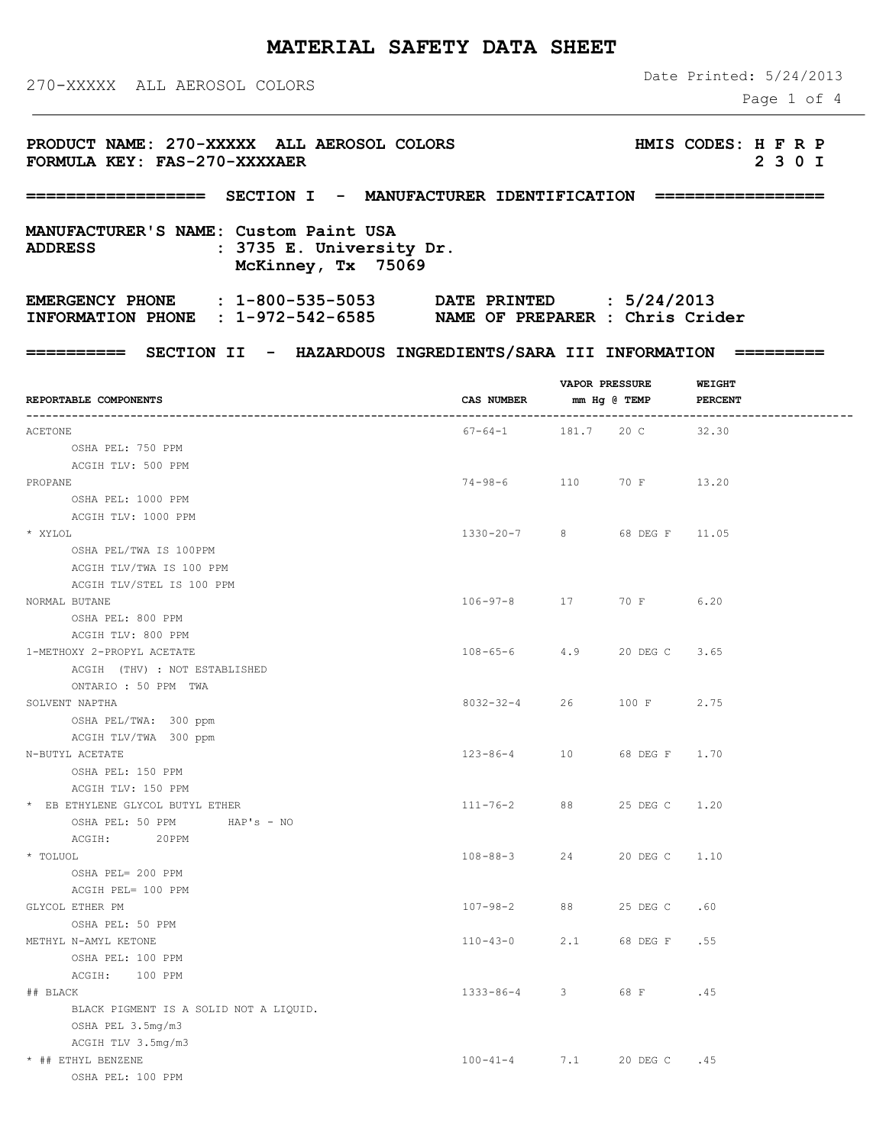# **MATERIAL SAFETY DATA SHEET**

## 270-XXXXX ALL AEROSOL COLORS

 OSHA PEL: 100 PPM ACGIH: 100 PPM

> OSHA PEL 3.5mg/m3 ACGIH TLV 3.5mg/m3

OSHA PEL: 100 PPM

BLACK PIGMENT IS A SOLID NOT A LIQUID.

Date Printed: 5/24/2013

Page 1 of 4

| PRODUCT NAME: 270-XXXXX ALL AEROSOL COLORS<br>FORMULA KEY: FAS-270-XXXXAER                                                      |                                                                                                                                                                                                                                                                                                                                                                                                                                                            |  |  | HMIS CODES: H F R P<br>2 3 0 I |  |  |  |  |
|---------------------------------------------------------------------------------------------------------------------------------|------------------------------------------------------------------------------------------------------------------------------------------------------------------------------------------------------------------------------------------------------------------------------------------------------------------------------------------------------------------------------------------------------------------------------------------------------------|--|--|--------------------------------|--|--|--|--|
|                                                                                                                                 | =================== SECTION I - MANUFACTURER IDENTIFICATION ==================<br>========== SECTION II - HAZARDOUS INGREDIENTS/SARA III INFORMATION ==========<br><b>WEIGHT</b><br><b>VAPOR PRESSURE</b><br>CAS NUMBER mm Hg @ TEMP PERCENT<br>$67-64-1$ 181.7 20 C 32.30<br>74-98-6 110 70 F 13.20<br>1330-20-7 8 68 DEG F 11.05<br>106-97-8 17 70 F<br>6.20<br>108-65-6 4.9 20 DEG C<br>3.65<br>8032-32-4 26 100 F<br>2.75<br>123-86-4 10 68 DEG F 1.70 |  |  |                                |  |  |  |  |
| MANUFACTURER'S NAME: Custom Paint USA<br>: 3735 E. University Dr.<br><b>ADDRESS</b><br>McKinney, Tx 75069                       |                                                                                                                                                                                                                                                                                                                                                                                                                                                            |  |  |                                |  |  |  |  |
| EMERGENCY PHONE : 1-800-535-5053 DATE PRINTED : 5/24/2013<br>INFORMATION PHONE : 1-972-542-6585 NAME OF PREPARER : Chris Crider |                                                                                                                                                                                                                                                                                                                                                                                                                                                            |  |  |                                |  |  |  |  |
|                                                                                                                                 |                                                                                                                                                                                                                                                                                                                                                                                                                                                            |  |  |                                |  |  |  |  |
| REPORTABLE COMPONENTS                                                                                                           |                                                                                                                                                                                                                                                                                                                                                                                                                                                            |  |  |                                |  |  |  |  |
| ACETONE                                                                                                                         |                                                                                                                                                                                                                                                                                                                                                                                                                                                            |  |  |                                |  |  |  |  |
| OSHA PEL: 750 PPM                                                                                                               |                                                                                                                                                                                                                                                                                                                                                                                                                                                            |  |  |                                |  |  |  |  |
| ACGIH TLV: 500 PPM                                                                                                              |                                                                                                                                                                                                                                                                                                                                                                                                                                                            |  |  |                                |  |  |  |  |
| PROPANE                                                                                                                         |                                                                                                                                                                                                                                                                                                                                                                                                                                                            |  |  |                                |  |  |  |  |
| OSHA PEL: 1000 PPM                                                                                                              |                                                                                                                                                                                                                                                                                                                                                                                                                                                            |  |  |                                |  |  |  |  |
| ACGIH TLV: 1000 PPM                                                                                                             |                                                                                                                                                                                                                                                                                                                                                                                                                                                            |  |  |                                |  |  |  |  |
| * XYLOL                                                                                                                         |                                                                                                                                                                                                                                                                                                                                                                                                                                                            |  |  |                                |  |  |  |  |
| OSHA PEL/TWA IS 100PPM                                                                                                          |                                                                                                                                                                                                                                                                                                                                                                                                                                                            |  |  |                                |  |  |  |  |
| ACGIH TLV/TWA IS 100 PPM                                                                                                        |                                                                                                                                                                                                                                                                                                                                                                                                                                                            |  |  |                                |  |  |  |  |
| ACGIH TLV/STEL IS 100 PPM<br>NORMAL BUTANE                                                                                      |                                                                                                                                                                                                                                                                                                                                                                                                                                                            |  |  |                                |  |  |  |  |
| OSHA PEL: 800 PPM                                                                                                               |                                                                                                                                                                                                                                                                                                                                                                                                                                                            |  |  |                                |  |  |  |  |
| ACGIH TLV: 800 PPM                                                                                                              |                                                                                                                                                                                                                                                                                                                                                                                                                                                            |  |  |                                |  |  |  |  |
| 1-METHOXY 2-PROPYL ACETATE                                                                                                      |                                                                                                                                                                                                                                                                                                                                                                                                                                                            |  |  |                                |  |  |  |  |
| ACGIH (THV) : NOT ESTABLISHED                                                                                                   |                                                                                                                                                                                                                                                                                                                                                                                                                                                            |  |  |                                |  |  |  |  |
| ONTARIO : 50 PPM TWA                                                                                                            |                                                                                                                                                                                                                                                                                                                                                                                                                                                            |  |  |                                |  |  |  |  |
| SOLVENT NAPTHA                                                                                                                  |                                                                                                                                                                                                                                                                                                                                                                                                                                                            |  |  |                                |  |  |  |  |
| OSHA PEL/TWA: 300 ppm                                                                                                           |                                                                                                                                                                                                                                                                                                                                                                                                                                                            |  |  |                                |  |  |  |  |
| ACGIH TLV/TWA 300 ppm                                                                                                           |                                                                                                                                                                                                                                                                                                                                                                                                                                                            |  |  |                                |  |  |  |  |
| N-BUTYL ACETATE                                                                                                                 |                                                                                                                                                                                                                                                                                                                                                                                                                                                            |  |  |                                |  |  |  |  |
| OSHA PEL: 150 PPM                                                                                                               |                                                                                                                                                                                                                                                                                                                                                                                                                                                            |  |  |                                |  |  |  |  |
| ACGIH TLV: 150 PPM                                                                                                              |                                                                                                                                                                                                                                                                                                                                                                                                                                                            |  |  |                                |  |  |  |  |
| * EB ETHYLENE GLYCOL BUTYL ETHER                                                                                                | 111-76-2 88 25 DEG C                                                                                                                                                                                                                                                                                                                                                                                                                                       |  |  | 1.20                           |  |  |  |  |
| OSHA PEL: 50 PPM HAP's - NO                                                                                                     |                                                                                                                                                                                                                                                                                                                                                                                                                                                            |  |  |                                |  |  |  |  |
| ACGIH: 20PPM                                                                                                                    |                                                                                                                                                                                                                                                                                                                                                                                                                                                            |  |  |                                |  |  |  |  |
| * TOLUOL                                                                                                                        | 108-88-3 24 20 DEG C 1.10                                                                                                                                                                                                                                                                                                                                                                                                                                  |  |  |                                |  |  |  |  |
| OSHA PEL= 200 PPM                                                                                                               |                                                                                                                                                                                                                                                                                                                                                                                                                                                            |  |  |                                |  |  |  |  |
| ACGIH PEL= 100 PPM                                                                                                              |                                                                                                                                                                                                                                                                                                                                                                                                                                                            |  |  |                                |  |  |  |  |
| GLYCOL ETHER PM                                                                                                                 | 107-98-2 88 25 DEG C .60                                                                                                                                                                                                                                                                                                                                                                                                                                   |  |  |                                |  |  |  |  |
| OSHA PEL: 50 PPM                                                                                                                |                                                                                                                                                                                                                                                                                                                                                                                                                                                            |  |  |                                |  |  |  |  |

METHYL N-AMYL KETONE 110-43-0 2.1 68 DEG F .55

## BLACK 1333-86-4 3 68 F .45

\* ## ETHYL BENZENE 100-41-4 7.1 20 DEG C .45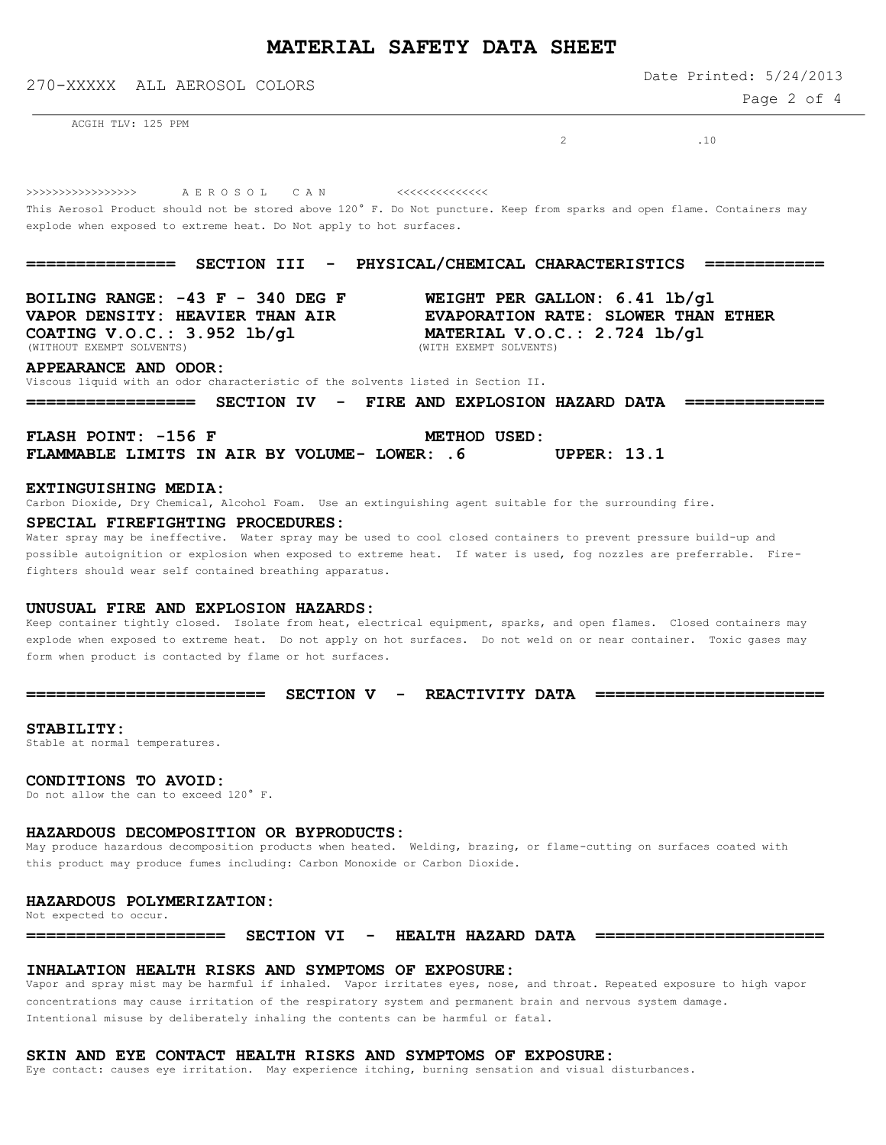# **MATERIAL SAFETY DATA SHEET**

Date Printed: 5/24/2013

270-XXXXX ALL AEROSOL COLORS

Page 2 of 4

ACGIH TLV: 125 PPM

2 10

>>>>>>>>>>>>>>>>> A E R O S O L C A N <<<<<<<<<<<<<<

This Aerosol Product should not be stored above 120° F. Do Not puncture. Keep from sparks and open flame. Containers may explode when exposed to extreme heat. Do Not apply to hot surfaces.

**=============== SECTION III - PHYSICAL/CHEMICAL CHARACTERISTICS ============**

**BOILING RANGE: -43 F - 340 DEG F WEIGHT PER GALLON: 6.41 lb/gl COATING V.O.C.: 3.952 lb/gl MATERIAL V.O.C.: 2.724 lb/gl** Mathour EXEMPT SOLVENTS) (WITHOUT EXEMPT SOLVENTS)

**VAPOR DENSITY: HEAVIER THAN AIR EVAPORATION RATE: SLOWER THAN ETHER**

**APPEARANCE AND ODOR:**

Viscous liquid with an odor characteristic of the solvents listed in Section II.

**================= SECTION IV - FIRE AND EXPLOSION HAZARD DATA ==============**

FLASH POINT: -156 F METHOD USED: **FLAMMABLE LIMITS IN AIR BY VOLUME- LOWER: .6 UPPER: 13.1**

#### **EXTINGUISHING MEDIA:**

Carbon Dioxide, Dry Chemical, Alcohol Foam. Use an extinguishing agent suitable for the surrounding fire.

## **SPECIAL FIREFIGHTING PROCEDURES:**

Water spray may be ineffective. Water spray may be used to cool closed containers to prevent pressure build-up and possible autoignition or explosion when exposed to extreme heat. If water is used, fog nozzles are preferrable. Firefighters should wear self contained breathing apparatus.

#### **UNUSUAL FIRE AND EXPLOSION HAZARDS:**

Keep container tightly closed. Isolate from heat, electrical equipment, sparks, and open flames. Closed containers may explode when exposed to extreme heat. Do not apply on hot surfaces. Do not weld on or near container. Toxic gases may form when product is contacted by flame or hot surfaces.

**======================== SECTION V - REACTIVITY DATA =======================**

## **STABILITY:**

Stable at normal temperatures.

## **CONDITIONS TO AVOID:**

Do not allow the can to exceed 120° F.

## **HAZARDOUS DECOMPOSITION OR BYPRODUCTS:**

May produce hazardous decomposition products when heated. Welding, brazing, or flame-cutting on surfaces coated with this product may produce fumes including: Carbon Monoxide or Carbon Dioxide.

## **HAZARDOUS POLYMERIZATION:**

Not expected to occur.

**==================== SECTION VI - HEALTH HAZARD DATA =======================**

## **INHALATION HEALTH RISKS AND SYMPTOMS OF EXPOSURE:**

Vapor and spray mist may be harmful if inhaled. Vapor irritates eyes, nose, and throat. Repeated exposure to high vapor concentrations may cause irritation of the respiratory system and permanent brain and nervous system damage. Intentional misuse by deliberately inhaling the contents can be harmful or fatal.

## **SKIN AND EYE CONTACT HEALTH RISKS AND SYMPTOMS OF EXPOSURE:**

Eye contact: causes eye irritation. May experience itching, burning sensation and visual disturbances.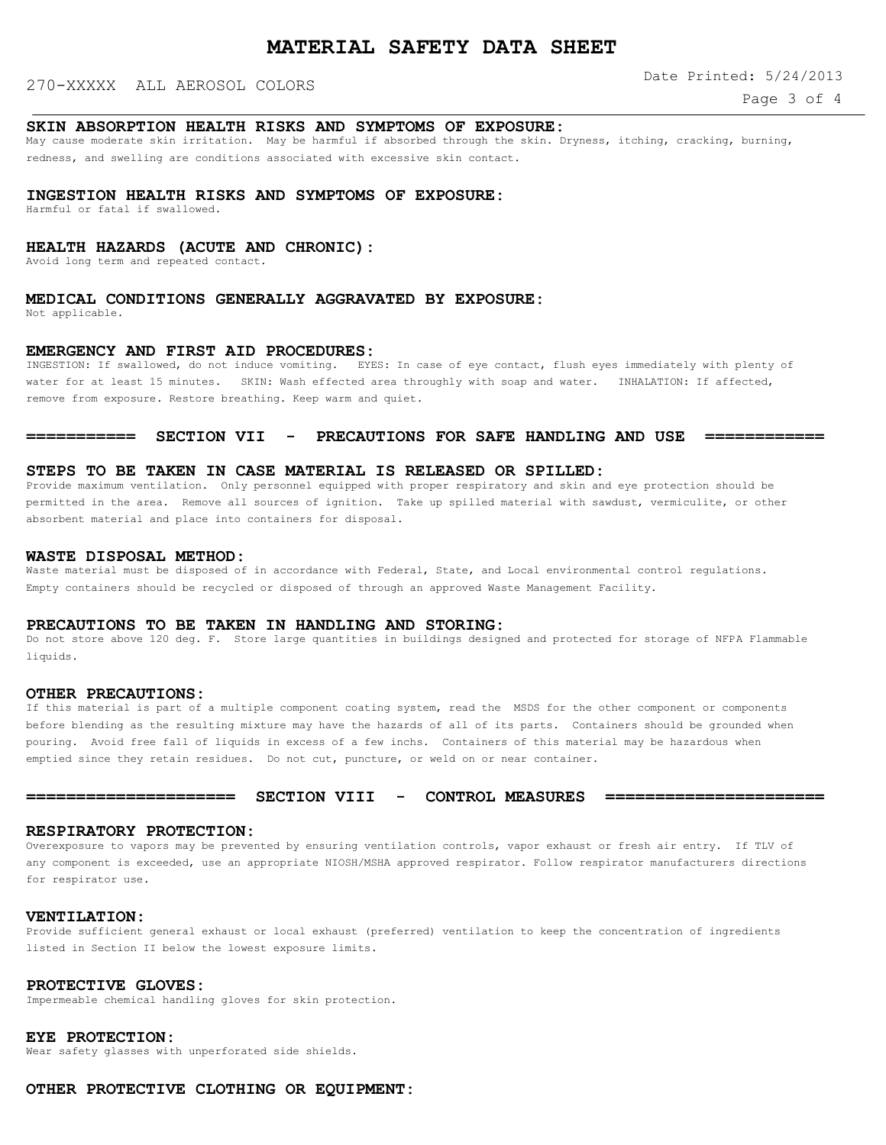## 270-XXXXX ALL AEROSOL COLORS

Date Printed: 5/24/2013

## **SKIN ABSORPTION HEALTH RISKS AND SYMPTOMS OF EXPOSURE:**

May cause moderate skin irritation. May be harmful if absorbed through the skin. Dryness, itching, cracking, burning, redness, and swelling are conditions associated with excessive skin contact.

## **INGESTION HEALTH RISKS AND SYMPTOMS OF EXPOSURE:**

Harmful or fatal if swallowed.

## **HEALTH HAZARDS (ACUTE AND CHRONIC):**

Avoid long term and repeated contact.

## **MEDICAL CONDITIONS GENERALLY AGGRAVATED BY EXPOSURE:**

Not applicable.

## **EMERGENCY AND FIRST AID PROCEDURES:**

INGESTION: If swallowed, do not induce vomiting. EYES: In case of eye contact, flush eyes immediately with plenty of water for at least 15 minutes. SKIN: Wash effected area throughly with soap and water. INHALATION: If affected, remove from exposure. Restore breathing. Keep warm and quiet.

## **=========== SECTION VII - PRECAUTIONS FOR SAFE HANDLING AND USE ============**

## **STEPS TO BE TAKEN IN CASE MATERIAL IS RELEASED OR SPILLED:**

Provide maximum ventilation. Only personnel equipped with proper respiratory and skin and eye protection should be permitted in the area. Remove all sources of ignition. Take up spilled material with sawdust, vermiculite, or other absorbent material and place into containers for disposal.

#### **WASTE DISPOSAL METHOD:**

Waste material must be disposed of in accordance with Federal, State, and Local environmental control regulations. Empty containers should be recycled or disposed of through an approved Waste Management Facility.

## **PRECAUTIONS TO BE TAKEN IN HANDLING AND STORING:**

Do not store above 120 deg. F. Store large quantities in buildings designed and protected for storage of NFPA Flammable liquids.

#### **OTHER PRECAUTIONS:**

If this material is part of a multiple component coating system, read the MSDS for the other component or components before blending as the resulting mixture may have the hazards of all of its parts. Containers should be grounded when pouring. Avoid free fall of liquids in excess of a few inchs. Containers of this material may be hazardous when emptied since they retain residues. Do not cut, puncture, or weld on or near container.

## **===================== SECTION VIII - CONTROL MEASURES ======================**

#### **RESPIRATORY PROTECTION:**

Overexposure to vapors may be prevented by ensuring ventilation controls, vapor exhaust or fresh air entry. If TLV of any component is exceeded, use an appropriate NIOSH/MSHA approved respirator. Follow respirator manufacturers directions for respirator use.

#### **VENTILATION:**

Provide sufficient general exhaust or local exhaust (preferred) ventilation to keep the concentration of ingredients listed in Section II below the lowest exposure limits.

#### **PROTECTIVE GLOVES:**

Impermeable chemical handling gloves for skin protection.

## **EYE PROTECTION:**

Wear safety glasses with unperforated side shields.

## **OTHER PROTECTIVE CLOTHING OR EQUIPMENT:**